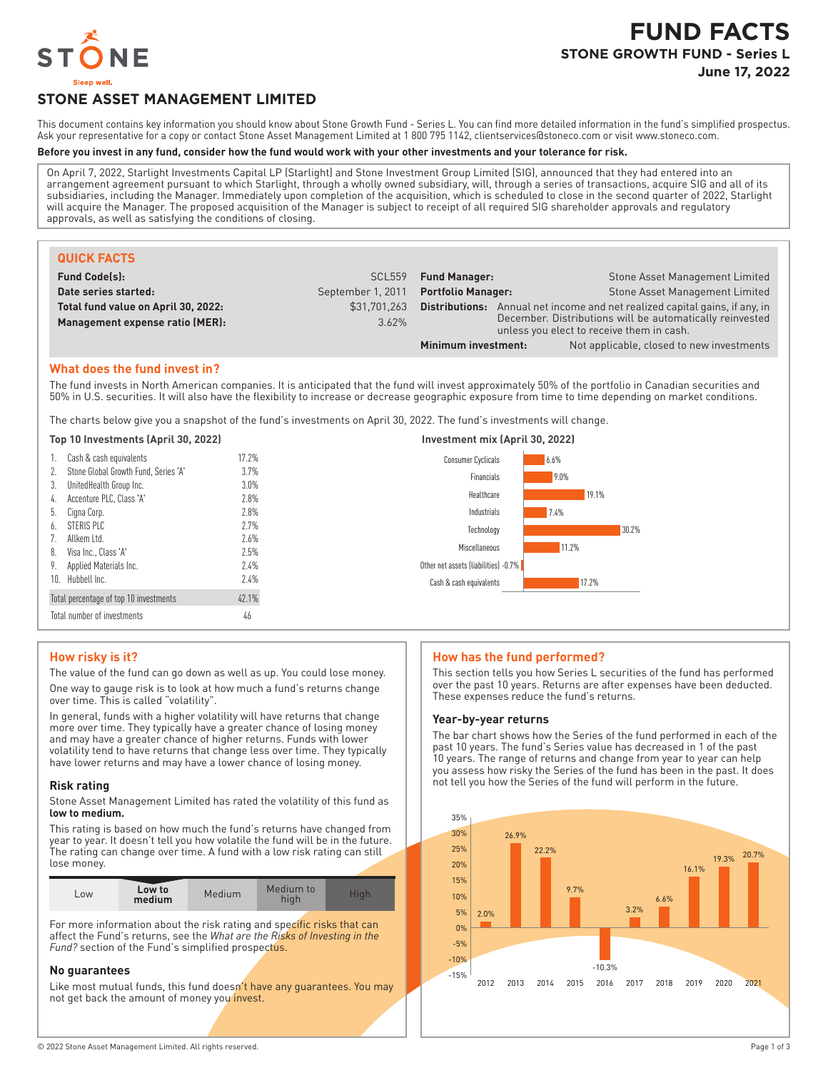

# **FUND FACTS STONE GROWTH FUND - Series L June 17, 2022**

# **STONE ASSET MANAGEMENT LIMITED**

This document contains key information you should know about Stone Growth Fund - Series L. You can find more detailed information in the fund's simplified prospectus. Ask your representative for a copy or contact Stone Asset Management Limited at 1800 795 1142, clientservices@stoneco.com or visit www.stoneco.com.

## **Before you invest in any fund, consider how the fund would work with your other investments and your tolerance for risk.**

On April 7, 2022, Starlight Investments Capital LP (Starlight) and Stone Investment Group Limited (SIG), announced that they had entered into an arrangement agreement pursuant to which Starlight, through a wholly owned subsidiary, will, through a series of transactions, acquire SIG and all of its subsidiaries, including the Manager. Immediately upon completion of the acquisition, which is scheduled to close in the second quarter of 2022, Starlight will acquire the Manager. The proposed acquisition of the Manager is subject to receipt of all required SIG shareholder approvals and regulatory approvals, as well as satisfying the conditions of closing.

| <b>QUICK FACTS</b>                  |                    |                                                                                                       |                                           |  |
|-------------------------------------|--------------------|-------------------------------------------------------------------------------------------------------|-------------------------------------------|--|
| <b>Fund Code(s):</b>                | SCL <sub>559</sub> | <b>Fund Manager:</b>                                                                                  | Stone Asset Management Limited            |  |
| Date series started:                | September 1, 2011  | <b>Portfolio Manager:</b>                                                                             | Stone Asset Management Limited            |  |
| Total fund value on April 30, 2022: | \$31,701,263       | Annual net income and net realized capital gains, if any, in<br>Distributions:                        |                                           |  |
| Management expense ratio (MER):     | 3.62%              | December. Distributions will be automatically reinvested<br>unless you elect to receive them in cash. |                                           |  |
|                                     |                    | Minimum investment:                                                                                   | Not applicable, closed to new investments |  |

# **What does the fund invest in?**

The fund invests in North American companies. It is anticipated that the fund will invest approximately 50% of the portfolio in Canadian securities and 50% in U.S. securities. It will also have the flexibility to increase or decrease geographic exposure from time to time depending on market conditions.

The charts below give you a snapshot of the fund's investments on April 30, 2022. The fund's investments will change.

## **Top 10 Investments (April 30, 2022) Investment mix (April 30, 2022)**

| 1. Cash & cash equivalents              | 17.2%   | 6.6%<br>Consumer Cyclicals           |       |
|-----------------------------------------|---------|--------------------------------------|-------|
| 2. Stone Global Growth Fund, Series 'A' | 3.7%    | 9.0%<br>Financials                   |       |
| 3. UnitedHealth Group Inc.              | $3.0\%$ |                                      |       |
| 4. Accenture PLC, Class 'A'             | 2.8%    | Healthcare                           | 19.1% |
| 5. Cigna Corp.                          | 2.8%    | 7.4%<br>Industrials                  |       |
| 6. STERIS PLC                           | 2.7%    | Technology                           | 30.2% |
| 7. Allkem Ltd.                          | 2.6%    |                                      |       |
| 8. Visa Inc., Class 'A'                 | 2.5%    | 11.2%<br>Miscellaneous               |       |
| 9. Applied Materials Inc.               | 2.4%    | Other net assets (liabilities) -0.7% |       |
| 10. Hubbell Inc.                        | 2.4%    | Cash & cash equivalents              | 17.2% |
| Total percentage of top 10 investments  | 42.1%   |                                      |       |
| Total number of investments             | 46      |                                      |       |

#### **How risky is it?**

The value of the fund can go down as well as up. You could lose money. One way to gauge risk is to look at how much a fund's returns change over time. This is called "volatility".

In general, funds with a higher volatility will have returns that change more over time. They typically have a greater chance of losing money and may have a greater chance of higher returns. Funds with lower volatility tend to have returns that change less over time. They typically have lower returns and may have a lower chance of losing money.

#### **Risk rating**

Stone Asset Management Limited has rated the volatility of this fund as **low to medium.**

This rating is based on how much the fund's returns have changed from year to year. It doesn't tell you how volatile the fund will be in the future. The rating can change over time. A fund with a low risk rating can still lose money.

| LOW | Low to<br>medium | Medium | Medium to<br>hiah | Nigh. |
|-----|------------------|--------|-------------------|-------|

For more information about the risk rating and specific risks that can affect the Fund's returns, see the *What are the Risks of Investing in the Fund?* section of the Fund's simplified prospectus.

#### **No guarantees**

Like most mutual funds, this fund doesn't have any guarantees. You may not get back the amount of money you invest.

#### **How has the fund performed?**

This section tells you how Series L securities of the fund has performed over the past 10 years. Returns are after expenses have been deducted. These expenses reduce the fund's returns.

#### **Year-by-year returns**

The bar chart shows how the Series of the fund performed in each of the past 10 years. The fund's Series value has decreased in 1 of the past 10 years. The range of returns and change from year to year can help you assess how risky the Series of the fund has been in the past. It does not tell you how the Series of the fund will perform in the future.

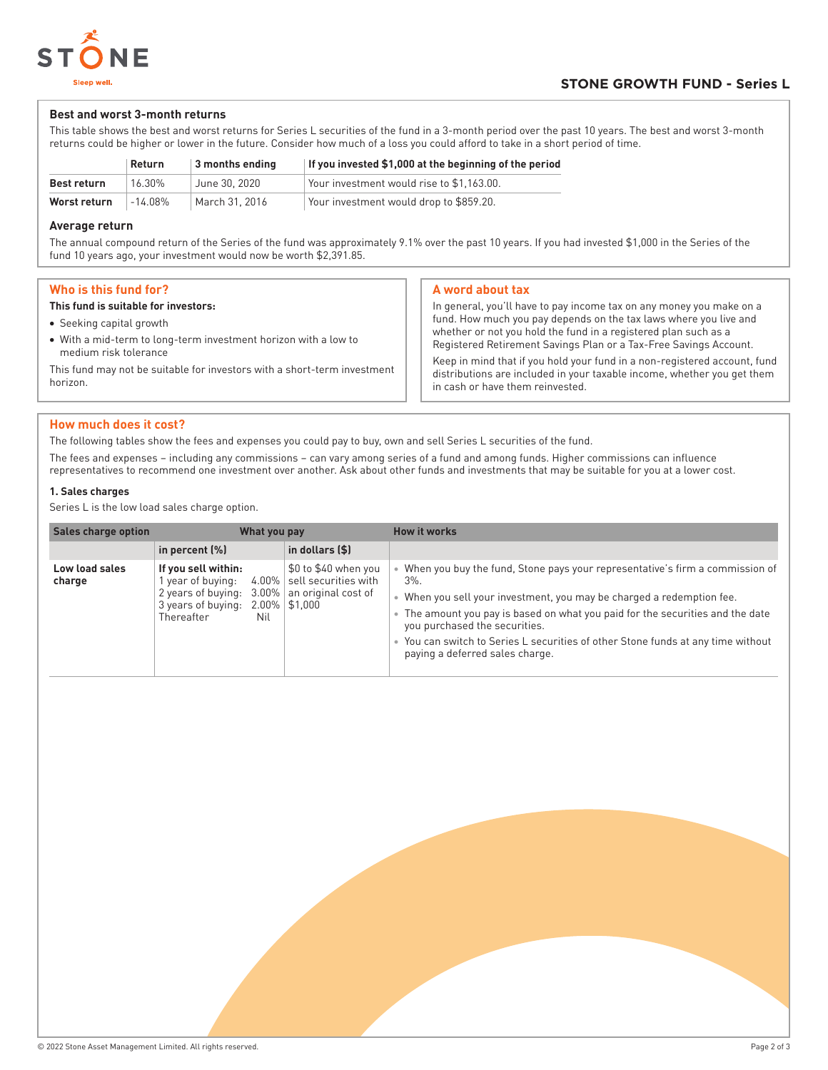

### **Best and worst 3-month returns**

This table shows the best and worst returns for Series L securities of the fund in a 3-month period over the past 10 years. The best and worst 3-month returns could be higher or lower in the future. Consider how much of a loss you could afford to take in a short period of time.

|                    | <b>Return</b> | $\vert$ 3 months ending | If you invested \$1,000 at the beginning of the period |
|--------------------|---------------|-------------------------|--------------------------------------------------------|
| <b>Best return</b> | 16.30%        | June 30, 2020           | Your investment would rise to \$1.163.00.              |
| Worst return       | -14.08%       | March 31, 2016          | Your investment would drop to \$859.20.                |

#### **Average return**

The annual compound return of the Series of the fund was approximately 9.1% over the past 10 years. If you had invested \$1,000 in the Series of the fund 10 years ago, your investment would now be worth \$2,391.85.

| Who is this fund for? |                                      |
|-----------------------|--------------------------------------|
|                       | This fund is suitable for investors: |

- Seeking capital growth
- With a mid-term to long-term investment horizon with a low to medium risk tolerance

This fund may not be suitable for investors with a short-term investment horizon.

### **A word about tax**

In general, you'll have to pay income tax on any money you make on a fund. How much you pay depends on the tax laws where you live and whether or not you hold the fund in a registered plan such as a Registered Retirement Savings Plan or a Tax-Free Savings Account. Keep in mind that if you hold your fund in a non-registered account, fund distributions are included in your taxable income, whether you get them in cash or have them reinvested.

## **How much does it cost?**

The following tables show the fees and expenses you could pay to buy, own and sell Series L securities of the fund.

The fees and expenses – including any commissions – can vary among series of a fund and among funds. Higher commissions can influence representatives to recommend one investment over another. Ask about other funds and investments that may be suitable for you at a lower cost.

### **1. Sales charges**

Series L is the low load sales charge option.

| <b>Sales charge option</b> | What you pay                                                                                                          |                                                                                                 | <b>How it works</b>                                                                                                                                                                                                                                                                                                                                                                                    |  |
|----------------------------|-----------------------------------------------------------------------------------------------------------------------|-------------------------------------------------------------------------------------------------|--------------------------------------------------------------------------------------------------------------------------------------------------------------------------------------------------------------------------------------------------------------------------------------------------------------------------------------------------------------------------------------------------------|--|
|                            | in percent $(\%)$                                                                                                     | in dollars (\$)                                                                                 |                                                                                                                                                                                                                                                                                                                                                                                                        |  |
| Low load sales<br>charge   | If you sell within:<br>1 year of buying:<br>2 years of buying:<br>$3.00\%$<br>3 years of buying:<br>Thereafter<br>Nil | \$0 to \$40 when you<br>4.00%   sell securities with<br>an original cost of<br>$2.00\%$ \$1,000 | When you buy the fund, Stone pays your representative's firm a commission of<br>$3\%$ .<br>When you sell your investment, you may be charged a redemption fee.<br>The amount you pay is based on what you paid for the securities and the date<br>you purchased the securities.<br>• You can switch to Series L securities of other Stone funds at any time without<br>paying a deferred sales charge. |  |